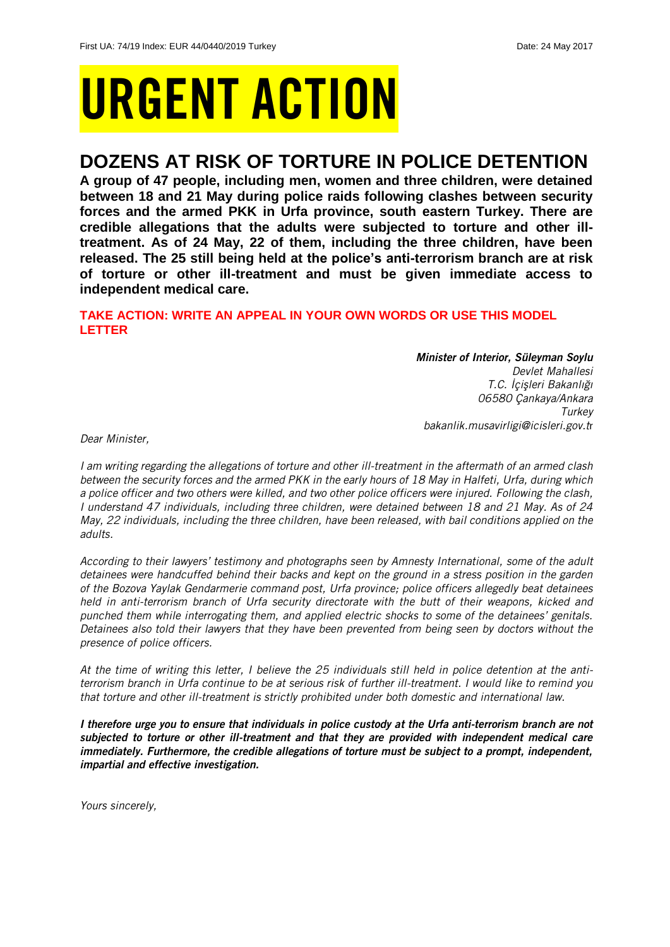# URGENT ACTION

## **DOZENS AT RISK OF TORTURE IN POLICE DETENTION**

**A group of 47 people, including men, women and three children, were detained between 18 and 21 May during police raids following clashes between security forces and the armed PKK in Urfa province, south eastern Turkey. There are credible allegations that the adults were subjected to torture and other illtreatment. As of 24 May, 22 of them, including the three children, have been released. The 25 still being held at the police's anti-terrorism branch are at risk of torture or other ill-treatment and must be given immediate access to independent medical care.**

## **TAKE ACTION: WRITE AN APPEAL IN YOUR OWN WORDS OR USE THIS MODEL LETTER**

*Minister of Interior, Süleyman Soylu Devlet Mahallesi T.C. İçişleri Bakanlığı 06580 Çankaya/Ankara Turkey bakanlik.musavirligi@icisleri.gov.t*r

*Dear Minister,*

*I am writing regarding the allegations of torture and other ill-treatment in the aftermath of an armed clash between the security forces and the armed PKK in the early hours of 18 May in Halfeti, Urfa, during which a police officer and two others were killed, and two other police officers were injured. Following the clash, I understand 47 individuals, including three children, were detained between 18 and 21 May. As of 24 May, 22 individuals, including the three children, have been released, with bail conditions applied on the adults.* 

*According to their lawyers' testimony and photographs seen by Amnesty International, some of the adult detainees were handcuffed behind their backs and kept on the ground in a stress position in the garden of the Bozova Yaylak Gendarmerie command post, Urfa province; police officers allegedly beat detainees held in anti-terrorism branch of Urfa security directorate with the butt of their weapons, kicked and punched them while interrogating them, and applied electric shocks to some of the detainees' genitals. Detainees also told their lawyers that they have been prevented from being seen by doctors without the presence of police officers.*

*At the time of writing this letter, I believe the 25 individuals still held in police detention at the antiterrorism branch in Urfa continue to be at serious risk of further ill-treatment. I would like to remind you that torture and other ill-treatment is strictly prohibited under both domestic and international law.*

*I therefore urge you to ensure that individuals in police custody at the Urfa anti-terrorism branch are not subjected to torture or other ill-treatment and that they are provided with independent medical care immediately. Furthermore, the credible allegations of torture must be subject to a prompt, independent, impartial and effective investigation.*

*Yours sincerely,*